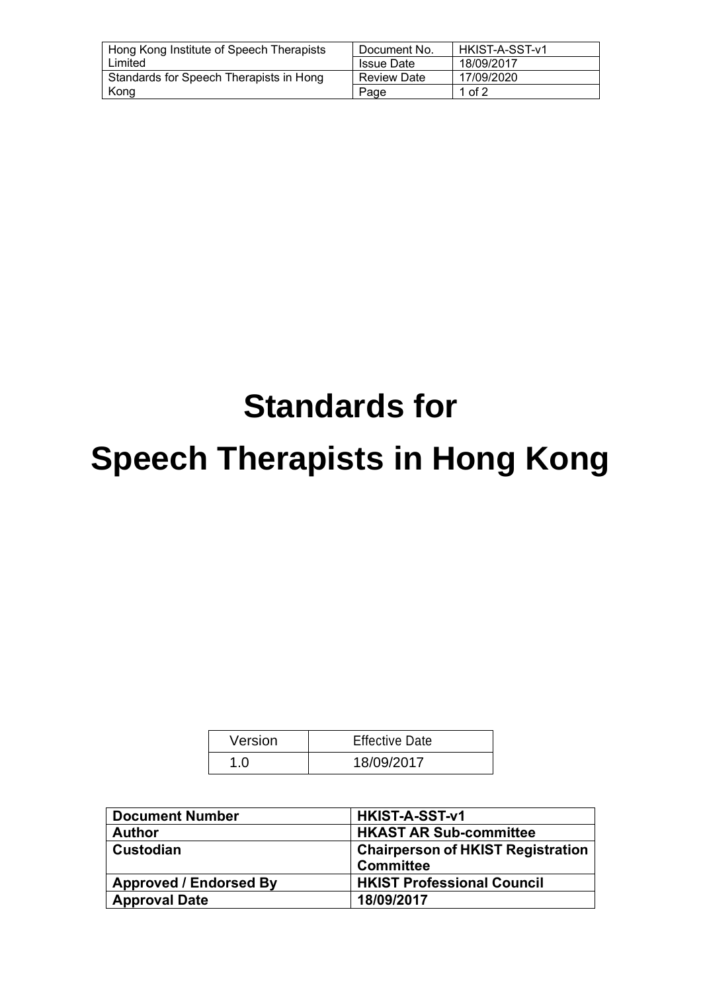| Hong Kong Institute of Speech Therapists | l Document No.     | HKIST-A-SST-v1 |
|------------------------------------------|--------------------|----------------|
| Limited                                  | <b>Issue Date</b>  | 18/09/2017     |
| Standards for Speech Therapists in Hong  | <b>Review Date</b> | 17/09/2020     |
| Kong                                     | Page               | 1 of $2$       |

# **Standards for**

# **Speech Therapists in Hong Kong**

| Version | <b>Effective Date</b> |
|---------|-----------------------|
| 1.0     | 18/09/2017            |

| <b>Document Number</b>        | HKIST-A-SST-v1                           |  |
|-------------------------------|------------------------------------------|--|
| <b>Author</b>                 | <b>HKAST AR Sub-committee</b>            |  |
| <b>Custodian</b>              | <b>Chairperson of HKIST Registration</b> |  |
|                               | <b>Committee</b>                         |  |
| <b>Approved / Endorsed By</b> | <b>HKIST Professional Council</b>        |  |
| <b>Approval Date</b>          | 18/09/2017                               |  |